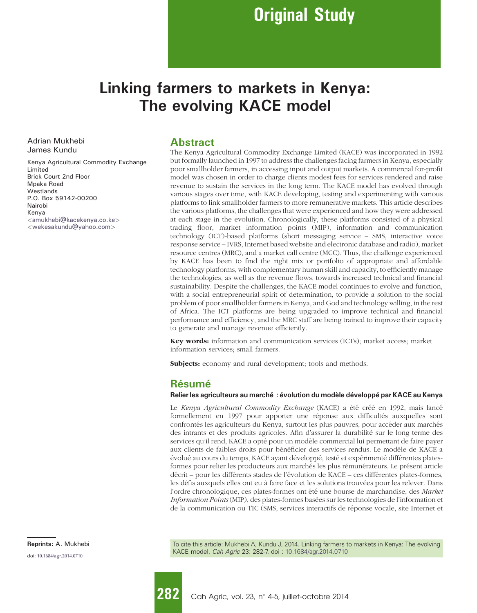# Linking farmers to markets in Kenya: The evolving KACE model

Adrian Mukhebi James Kundu

Kenya Agricultural Commodity Exchange Limited Brick Court 2nd Floor Mpaka Road **Westlands** P.O. Box 59142-00200 Nairobi Kenya <[amukhebi@kacekenya.co.ke](mailto:amukhebi@kacekenya.co.ke)> <[wekesakundu@yahoo.com](mailto:wekesakundu@yahoo.com)>

Abstract

The Kenya Agricultural Commodity Exchange Limited (KACE) was incorporated in 1992 but formally launched in 1997 to address the challenges facing farmers in Kenya, especially poor smallholder farmers, in accessing input and output markets. A commercial for-profit model was chosen in order to charge clients modest fees for services rendered and raise revenue to sustain the services in the long term. The KACE model has evolved through various stages over time, with KACE developing, testing and experimenting with various platforms to link smallholder farmers to more remunerative markets. This article describes the various platforms, the challenges that were experienced and how they were addressed at each stage in the evolution. Chronologically, these platforms consisted of a physical trading floor, market information points (MIP), information and communication technology (ICT)-based platforms (short messaging service – SMS, interactive voice response service – IVRS, Internet based website and electronic database and radio), market resource centres (MRC), and a market call centre (MCC). Thus, the challenge experienced by KACE has been to find the right mix or portfolio of appropriate and affordable technology platforms, with complementary human skill and capacity, to efficiently manage the technologies, as well as the revenue flows, towards increased technical and financial sustainability. Despite the challenges, the KACE model continues to evolve and function, with a social entrepreneurial spirit of determination, to provide a solution to the social problem of poor smallholder farmers in Kenya, and God and technology willing, in the rest of Africa. The ICT platforms are being upgraded to improve technical and financial performance and efficiency, and the MRC staff are being trained to improve their capacity to generate and manage revenue efficiently.

Key words: information and communication services (ICTs); market access; market information services; small farmers.

Subjects: economy and rural development; tools and methods.

### Résumé

#### Relier les agriculteurs au marché : évolution du modèle développé par KACE au Kenya

Le Kenya Agricultural Commodity Exchange (KACE) a été créé en 1992, mais lancé formellement en 1997 pour apporter une réponse aux difficultés auxquelles sont confrontés les agriculteurs du Kenya, surtout les plus pauvres, pour accéder aux marchés des intrants et des produits agricoles. Afin d'assurer la durabilité sur le long terme des services qu'il rend, KACE a opté pour un modèle commercial lui permettant de faire payer aux clients de faibles droits pour bénéficier des services rendus. Le modèle de KACE a évolué au cours du temps, KACE ayant développé, testé et expérimenté différentes platesformes pour relier les producteurs aux marchés les plus rémunérateurs. Le présent article décrit – pour les différents stades de l'évolution de KACE – ces différentes plates-formes, les défis auxquels elles ont eu à faire face et les solutions trouvées pour les relever. Dans l'ordre chronologique, ces plates-formes ont été une bourse de marchandise, des Market Information Points (MIP), des plates-formes basées sur les technologies de l'information et de la communication ou TIC (SMS, services interactifs de réponse vocale, site Internet et

Reprints: A. Mukhebi **To cite this article: Mukhebi A, Kundu J, 2014.** Linking farmers to markets in Kenya: The evolving KACE model. Cah Agric 23: 282-7. doi : [10.1684/agr.2014.0710](http://dx.doi.org/10.1684/agr.2014.0710)

doi: [10.1684/agr.2014.0710](http://dx.doi.org/10.1684/agr.2014.0710)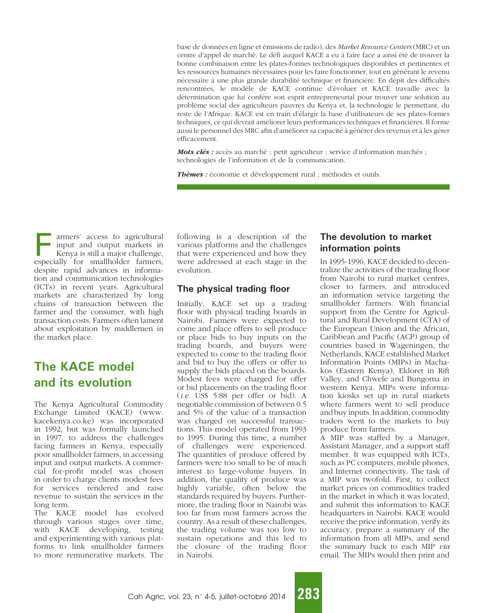base de données en ligne et émissions de radio), des Market Resource Centers (MRC) et un centre d'appel de marché. Le défi auquel KACE a eu à faire face a ainsi été de trouver la bonne combinaison entre les plates-formes technologiques disponibles et pertinentes et les ressources humaines nécessaires pour les faire fonctionner, tout en générant le revenu nécessaire à une plus grande durabilité technique et financière. En dépit des difficultés rencontrées, le modèle de KACE continue d'évoluer et KACE travaille avec la détermination que lui confère son esprit entrepreneurial pour trouver une solution au proble`me social des agriculteurs pauvres du Kenya et, la technologie le permettant, du reste de l'Afrique. KACE est en train d'élargir la base d'utilisateurs de ses plates-formes techniques, ce qui devrait améliorer leurs performances techniques et financières. Il forme aussi le personnel des MRC afin d'améliorer sa capacité à générer des revenus et à les gérer efficacement.

Mots clés : accès au marché ; petit agriculteur ; service d'information marchés ; technologies de l'information et de la communication.

Thèmes : économie et développement rural ; méthodes et outils.

armers' access to agricultural input and output markets in Kenya is still a major challenge, especially for smallholder farmers, despite rapid advances in information and communication technologies (ICTs) in recent years. Agricultural markets are characterized by long chains of transaction between the farmer and the consumer, with high transaction costs. Farmers often lament about exploitation by middlemen in the market place.

# The KACE model and its evolution

The Kenya Agricultural Commodity Exchange Limited (KACE) (www. kacekenya.co.ke) was incorporated in 1992, but was formally launched in 1997, to address the challenges facing farmers in Kenya, especially poor smallholder farmers, in accessing input and output markets. A commercial for-profit model was chosen in order to charge clients modest fees for services rendered and raise revenue to sustain the services in the long term.

The KACE model has evolved through various stages over time, with KACE developing, testing and experimenting with various platforms to link smallholder farmers to more remunerative markets. The

following is a description of the various platforms and the challenges that were experienced and how they were addressed at each stage in the evolution.

#### The physical trading floor

Initially, KACE set up a trading floor with physical trading boards in Nairobi. Farmers were expected to come and place offers to sell produce or place bids to buy inputs on the trading boards, and buyers were expected to come to the trading floor and bid to buy the offers or offer to supply the bids placed on the boards. Modest fees were charged for offer or bid placements on the trading floor (i.e. US\$ 5.88 per offer or bid). A negotiable commission of between 0.5 and 5% of the value of a transaction was charged on successful transactions. This model operated from 1993 to 1995. During this time, a number of challenges were experienced. The quantities of produce offered by farmers were too small to be of much interest to large-volume buyers. In addition, the quality of produce was highly variable, often below the standards required by buyers. Furthermore, the trading floor in Nairobi was too far from most farmers across the country. As a result of these challenges, the trading volume was too low to sustain operations and this led to the closure of the trading floor in Nairobi.

### The devolution to market information points

In 1995-1996, KACE decided to decentralize the activities of the trading floor from Nairobi to rural market centres, closer to farmers, and introduced an information service targeting the smallholder farmers. With financial support from the Centre for Agricultural and Rural Development (CTA) of the European Union and the African, Caribbean and Pacific (ACP) group of countries based in Wageningen, the Netherlands, KACE established Market Information Points (MIPs) in Machakos (Eastern Kenya), Eldoret in Rift Valley, and Chwele and Bungoma in western Kenya. MIPs were information kiosks set up in rural markets where farmers went to sell produce and buy inputs. In addition, commodity traders went to the markets to buy produce from farmers.

A MIP was staffed by a Manager, Assistant Manager, and a support staff member. It was equipped with ICTs, such as PC computers, mobile phones, and Internet connectivity. The task of a MIP was twofold. First, to collect market prices on commodities traded in the market in which it was located, and submit this information to KACE headquarters in Nairobi. KACE would receive the price information, verify its accuracy, prepare a summary of the information from all MIPs, and send the summary back to each MIP via email. The MIPs would then print and

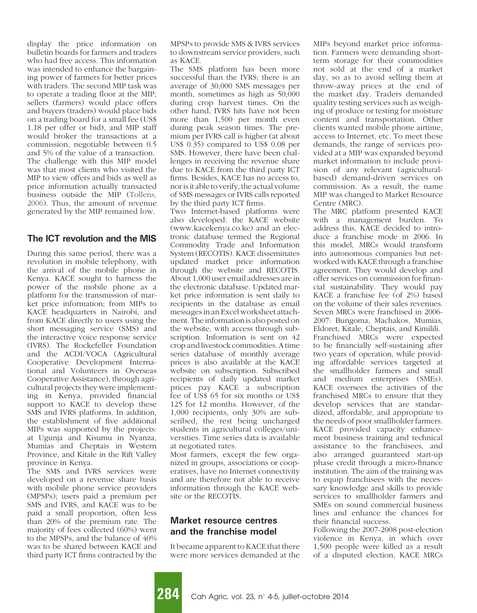display the price information on bulletin boards for farmers and traders who had free access. This information was intended to enhance the bargaining power of farmers for better prices with traders. The second MIP task was to operate a trading floor at the MIP; sellers (farmers) would place offers and buyers (traders) would place bids on a trading board for a small fee (US\$ 1.18 per offer or bid), and MIP staff would broker the transactions at a commission, negotiable between 0.5 and 5% of the value of a transaction. The challenge with this MIP model was that most clients who visited the MIP to view offers and bids as well as price information actually transacted business outside the MIP ([Tollens,](#page-5-0) [2006\)](#page-5-0). Thus, the amount of revenue generated by the MIP remained low.

#### The ICT revolution and the MIS

During this same period, there was a revolution in mobile telephony, with the arrival of the mobile phone in Kenya. KACE sought to harness the power of the mobile phone as a platform for the transmission of market price information; from MIPs to KACE headquarters in Nairobi, and from KACE directly to users using the short messaging service (SMS) and the interactive voice response service (IVRS). The Rockefeller Foundation and the ACDI/VOCA (Agricultural Cooperative Development International and Volunteers in Overseas Cooperative Assistance), through agricultural projects they were implementing in Kenya, provided financial support to KACE to develop these SMS and IVRS platforms. In addition, the establishment of five additional MIPs was supported by the projects: at Ugunja and Kisumu in Nyanza, Mumias and Cheptais in Western Province, and Kitale in the Rift Valley province in Kenya.

The SMS and IVRS services were developed on a revenue share basis with mobile phone service providers (MPSPs); users paid a premium per SMS and IVRS, and KACE was to be paid a small proportion, often less than 20% of the premium rate. The majority of fees collected (60%) went to the MPSPs, and the balance of 40% was to be shared between KACE and third party ICT firms contracted by the

MPSPs to provide SMS & IVRS services to downstream service providers, such as KACE.

The SMS platform has been more successful than the IVRS; there is an average of 30,000 SMS messages per month, sometimes as high as 50,000 during crop harvest times. On the other hand, IVRS hits have not been more than 1,500 per month even during peak season times. The premium per IVRS call is higher (at about US\$ 0.35) compared to US\$ 0.08 per SMS. However, there have been challenges in receiving the revenue share due to KACE from the third party ICT firms. Besides, KACE has no access to, nor is it able to verify, the actual volume of SMS messages or IVRS calls reported by the third party ICT firms.

Two Internet-based platforms were also developed: the KACE website (www.kacekenya.co.ke) and an electronic database termed the Regional Commodity Trade and Information System (RECOTIS). KACE disseminates updated market price information through the website and RECOTIS. About 1,000 user email addresses are in the electronic database. Updated market price information is sent daily to recipients in the database as email messages in an Excel worksheet attachment. The information is also posted on the website, with access through subscription. Information is sent on 42 crop and livestock commodities. A time series database of monthly average prices is also available at the KACE website on subscription. Subscribed recipients of daily updated market prices pay KACE a subscription fee of US\$ 65 for six months or US\$ 125 for 12 months. However, of the 1,000 recipients, only 30% are subscribed, the rest being uncharged students in agricultural colleges/universities. Time series data is available at negotiated rates.

Most farmers, except the few organized in groups, associations or cooperatives, have no Internet connectivity and are therefore not able to receive information through the KACE website or the RECOTIS.

#### Market resource centres and the franchise model

It became apparent to KACE that there were more services demanded at the MIPs beyond market price information. Farmers were demanding shortterm storage for their commodities not sold at the end of a market day, so as to avoid selling them at throw-away prices at the end of the market day. Traders demanded quality testing services such as weighing of produce or testing for moisture content and transportation. Other clients wanted mobile phone airtime, access to Internet, etc. To meet these demands, the range of services provided at a MIP was expanded beyond market information to include provision of any relevant (agriculturalbased) demand-driven services on commission. As a result, the name MIP was changed to Market Resource Centre (MRC).

The MRC platform presented KACE with a management burden. To address this, KACE decided to introduce a franchise mode in 2006. In this model, MRCs would transform into autonomous companies but networked with KACE through a franchise agreement. They would develop and offer services on commission for financial sustainability. They would pay KACE a franchise fee (of 2%) based on the volume of their sales revenues. Seven MRCs were franchised in 2006- 2007: Bungoma, Machakos, Mumias, Eldoret, Kitale, Cheptais, and Kimilili. Franchised MRCs were expected to be financially self-sustaining after two years of operation, while providing affordable services targeted at the smallholder farmers and small and medium enterprises (SMEs). KACE oversees the activities of the franchised MRCs to ensure that they develop services that are standardized, affordable, and appropriate to the needs of poor smallholder farmers. KACE provided capacity enhancement business training and technical assistance to the franchisees, and also arranged guaranteed start-up phase credit through a micro-finance institution. The aim of the training was to equip franchisees with the necessary knowledge and skills to provide services to smallholder farmers and SMEs on sound commercial business lines and enhance the chances for their financial success.

Following the 2007-2008 post-election violence in Kenya, in which over 1,500 people were killed as a result of a disputed election, KACE MRCs

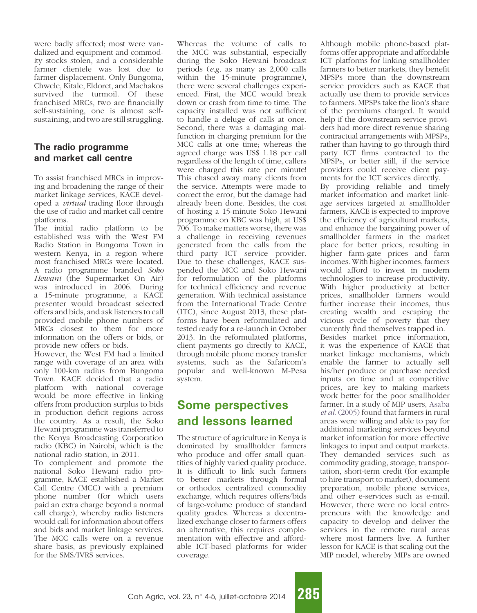were badly affected; most were vandalized and equipment and commodity stocks stolen, and a considerable farmer clientele was lost due to farmer displacement. Only Bungoma, Chwele, Kitale, Eldoret, and Machakos survived the turmoil. Of these franchised MRCs, two are financially self-sustaining, one is almost selfsustaining, and two are still struggling.

#### The radio programme and market call centre

To assist franchised MRCs in improving and broadening the range of their market linkage services, KACE developed a virtual trading floor through the use of radio and market call centre platforms.

The initial radio platform to be established was with the West FM Radio Station in Bungoma Town in western Kenya, in a region where most franchised MRCs were located. A radio programme branded Soko Hewani (the Supermarket On Air) was introduced in 2006. During a 15-minute programme, a KACE presenter would broadcast selected offers and bids, and ask listeners to call provided mobile phone numbers of MRCs closest to them for more information on the offers or bids, or provide new offers or bids.

However, the West FM had a limited range with coverage of an area with only 100-km radius from Bungoma Town. KACE decided that a radio platform with national coverage would be more effective in linking offers from production surplus to bids in production deficit regions across the country. As a result, the Soko Hewani programme was transferred to the Kenya Broadcasting Corporation radio (KBC) in Nairobi, which is the national radio station, in 2011.

To complement and promote the national Soko Hewani radio programme, KACE established a Market Call Centre (MCC) with a premium phone number (for which users paid an extra charge beyond a normal call charge), whereby radio listeners would call for information about offers and bids and market linkage services. The MCC calls were on a revenue share basis, as previously explained for the SMS/IVRS services.

Whereas the volume of calls to the MCC was substantial, especially during the Soko Hewani broadcast periods (e.g. as many as 2,000 calls within the 15-minute programme), there were several challenges experienced. First, the MCC would break down or crash from time to time. The capacity installed was not sufficient to handle a deluge of calls at once. Second, there was a damaging malfunction in charging premium for the MCC calls at one time; whereas the agreed charge was US\$ 1.18 per call regardless of the length of time, callers were charged this rate per minute! This chased away many clients from the service. Attempts were made to correct the error, but the damage had already been done. Besides, the cost of hosting a 15-minute Soko Hewani programme on KBC was high, at US\$ 706. To make matters worse, there was a challenge in receiving revenues generated from the calls from the third party ICT service provider. Due to these challenges, KACE suspended the MCC and Soko Hewani for reformulation of the platforms for technical efficiency and revenue generation. With technical assistance from the International Trade Centre (ITC), since August 2013, these platforms have been reformulated and tested ready for a re-launch in October 2013. In the reformulated platforms, client payments go directly to KACE, through mobile phone money transfer systems, such as the Safaricom's popular and well-known M-Pesa system.

## Some perspectives and lessons learned

The structure of agriculture in Kenya is dominated by smallholder farmers who produce and offer small quantities of highly varied quality produce. It is difficult to link such farmers to better markets through formal or orthodox centralized commodity exchange, which requires offers/bids of large-volume produce of standard quality grades. Whereas a decentralized exchange closer to farmers offers an alternative, this requires complementation with effective and affordable ICT-based platforms for wider coverage.

Although mobile phone-based platforms offer appropriate and affordable ICT platforms for linking smallholder farmers to better markets, they benefit MPSPs more than the downstream service providers such as KACE that actually use them to provide services to farmers. MPSPs take the lion's share of the premiums charged. It would help if the downstream service providers had more direct revenue sharing contractual arrangements with MPSPs, rather than having to go through third party ICT firms contracted to the MPSPs, or better still, if the service providers could receive client payments for the ICT services directly. By providing reliable and timely market information and market linkage services targeted at smallholder farmers, KACE is expected to improve the efficiency of agricultural markets, and enhance the bargaining power of smallholder farmers in the market place for better prices, resulting in higher farm-gate prices and farm incomes. With higher incomes, farmers would afford to invest in modern technologies to increase productivity. With higher productivity at better prices, smallholder farmers would further increase their incomes, thus creating wealth and escaping the vicious cycle of poverty that they currently find themselves trapped in. Besides market price information, it was the experience of KACE that market linkage mechanisms, which enable the farmer to actually sell his/her produce or purchase needed inputs on time and at competitive prices, are key to making markets work better for the poor smallholder farmer. In a study of MIP users, [Asaba](#page-5-0) et al. [\(2005\)](#page-5-0) found that farmers in rural areas were willing and able to pay for additional marketing services beyond market information for more effective linkages to input and output markets. They demanded services such as commodity grading, storage, transportation, short-term credit (for example to hire transport to market), document preparation, mobile phone services, and other e-services such as e-mail. However, there were no local entrepreneurs with the knowledge and capacity to develop and deliver the services in the remote rural areas where most farmers live. A further lesson for KACE is that scaling out the MIP model, whereby MIPs are owned

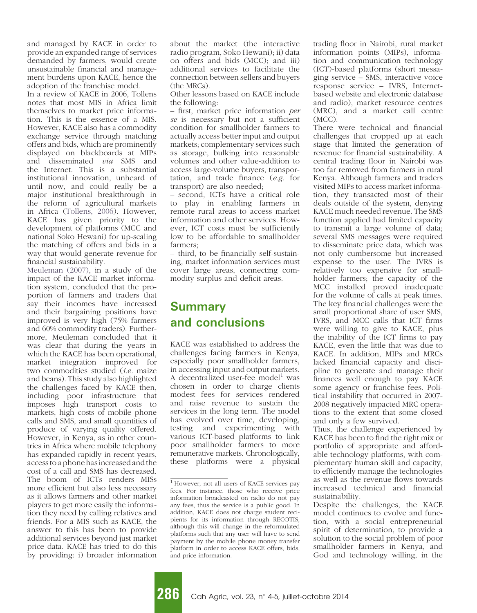and managed by KACE in order to provide an expanded range of services demanded by farmers, would create unsustainable financial and management burdens upon KACE, hence the adoption of the franchise model.

In a review of KACE in 2006, Tollens notes that most MIS in Africa limit themselves to market price information. This is the essence of a MIS. However, KACE also has a commodity exchange service through matching offers and bids, which are prominently displayed on blackboards at MIPs and disseminated via SMS and the Internet. This is a substantial institutional innovation, unheard of until now, and could really be a major institutional breakthrough in the reform of agricultural markets in Africa (Tollens, 2006). However, KACE has given priority to the development of platforms (MCC and national Soko Hewani) for up-scaling the matching of offers and bids in a way that would generate revenue for financial sustainability.

[Meuleman \(2007\),](#page-5-0) in a study of the impact of the KACE market information system, concluded that the proportion of farmers and traders that say their incomes have increased and their bargaining positions have improved is very high (75% farmers and 60% commodity traders). Furthermore, Meuleman concluded that it was clear that during the years in which the KACE has been operational, market integration improved for two commodities studied (i.e. maize and beans). This study also highlighted the challenges faced by KACE then, including poor infrastructure that imposes high transport costs to markets, high costs of mobile phone calls and SMS, and small quantities of produce of varying quality offered. However, in Kenya, as in other countries in Africa where mobile telephony has expanded rapidly in recent years, access to a phone has increased and the cost of a call and SMS has decreased. The boom of ICTs renders MISs more efficient but also less necessary as it allows farmers and other market players to get more easily the information they need by calling relatives and friends. For a MIS such as KACE, the answer to this has been to provide additional services beyond just market price data. KACE has tried to do this by providing: i) broader information

about the market (the interactive radio program, Soko Hewani); ii) data on offers and bids (MCC); and iii) additional services to facilitate the connection between sellers and buyers (the MRCs).

Other lessons based on KACE include the following:

– first, market price information per se is necessary but not a sufficient condition for smallholder farmers to actually access better input and output markets; complementary services such as storage, bulking into reasonable volumes and other value-addition to access large-volume buyers, transportation, and trade finance (e.g. for transport) are also needed;

– second, ICTs have a critical role to play in enabling farmers in remote rural areas to access market information and other services. However, ICT costs must be sufficiently low to be affordable to smallholder farmers;

– third, to be financially self-sustaining, market information services must cover large areas, connecting commodity surplus and deficit areas.

### **Summary** and conclusions

KACE was established to address the challenges facing farmers in Kenya, especially poor smallholder farmers, in accessing input and output markets. A decentralized user-fee model<sup>1</sup> was chosen in order to charge clients modest fees for services rendered and raise revenue to sustain the services in the long term. The model has evolved over time, developing, testing and experimenting with various ICT-based platforms to link poor smallholder farmers to more remunerative markets. Chronologically, these platforms were a physical trading floor in Nairobi, rural market information points (MIPs), information and communication technology (ICT)-based platforms (short messaging service – SMS, interactive voice response service – IVRS, Internetbased website and electronic database and radio), market resource centres (MRC), and a market call centre (MCC).

There were technical and financial challenges that cropped up at each stage that limited the generation of revenue for financial sustainability. A central trading floor in Nairobi was too far removed from farmers in rural Kenya. Although farmers and traders visited MIPs to access market information, they transacted most of their deals outside of the system, denying KACE much needed revenue. The SMS function applied had limited capacity to transmit a large volume of data; several SMS messages were required to disseminate price data, which was not only cumbersome but increased expense to the user. The IVRS is relatively too expensive for smallholder farmers; the capacity of the MCC installed proved inadequate for the volume of calls at peak times. The key financial challenges were the small proportional share of user SMS, IVRS, and MCC calls that ICT firms were willing to give to KACE, plus the inability of the ICT firms to pay KACE, even the little that was due to KACE. In addition, MIPs and MRCs lacked financial capacity and discipline to generate and manage their finances well enough to pay KACE some agency or franchise fees. Political instability that occurred in 2007- 2008 negatively impacted MRC operations to the extent that some closed and only a few survived.

Thus, the challenge experienced by KACE has been to find the right mix or portfolio of appropriate and affordable technology platforms, with complementary human skill and capacity, to efficiently manage the technologies as well as the revenue flows towards increased technical and financial sustainability.

Despite the challenges, the KACE model continues to evolve and function, with a social entrepreneurial spirit of determination, to provide a solution to the social problem of poor smallholder farmers in Kenya, and God and technology willing, in the

<sup>1</sup> However, not all users of KACE services pay fees. For instance, those who receive price information broadcasted on radio do not pay any fees, thus the service is a public good. In addition, KACE does not charge student recipients for its information through RECOTIS, although this will change in the reformulated platforms such that any user will have to send payment by the mobile phone money transfer platform in order to access KACE offers, bids, and price information.